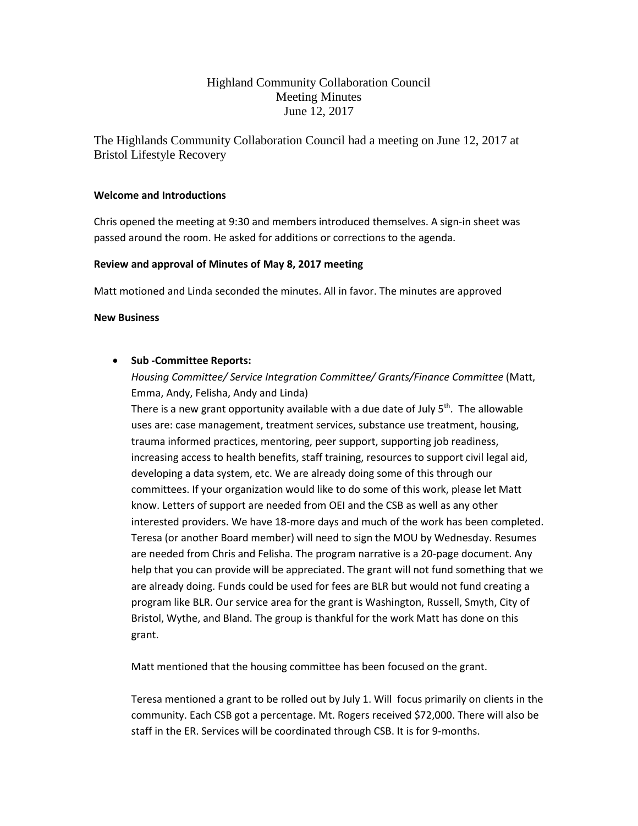# Highland Community Collaboration Council Meeting Minutes June 12, 2017

The Highlands Community Collaboration Council had a meeting on June 12, 2017 at Bristol Lifestyle Recovery

## **Welcome and Introductions**

Chris opened the meeting at 9:30 and members introduced themselves. A sign-in sheet was passed around the room. He asked for additions or corrections to the agenda.

### **Review and approval of Minutes of May 8, 2017 meeting**

Matt motioned and Linda seconded the minutes. All in favor. The minutes are approved

### **New Business**

## • **Sub -Committee Reports:**

*Housing Committee/ Service Integration Committee/ Grants/Finance Committee* (Matt, Emma, Andy, Felisha, Andy and Linda)

There is a new grant opportunity available with a due date of July  $5<sup>th</sup>$ . The allowable uses are: case management, treatment services, substance use treatment, housing, trauma informed practices, mentoring, peer support, supporting job readiness, increasing access to health benefits, staff training, resources to support civil legal aid, developing a data system, etc. We are already doing some of this through our committees. If your organization would like to do some of this work, please let Matt know. Letters of support are needed from OEI and the CSB as well as any other interested providers. We have 18-more days and much of the work has been completed. Teresa (or another Board member) will need to sign the MOU by Wednesday. Resumes are needed from Chris and Felisha. The program narrative is a 20-page document. Any help that you can provide will be appreciated. The grant will not fund something that we are already doing. Funds could be used for fees are BLR but would not fund creating a program like BLR. Our service area for the grant is Washington, Russell, Smyth, City of Bristol, Wythe, and Bland. The group is thankful for the work Matt has done on this grant.

Matt mentioned that the housing committee has been focused on the grant.

Teresa mentioned a grant to be rolled out by July 1. Will focus primarily on clients in the community. Each CSB got a percentage. Mt. Rogers received \$72,000. There will also be staff in the ER. Services will be coordinated through CSB. It is for 9-months.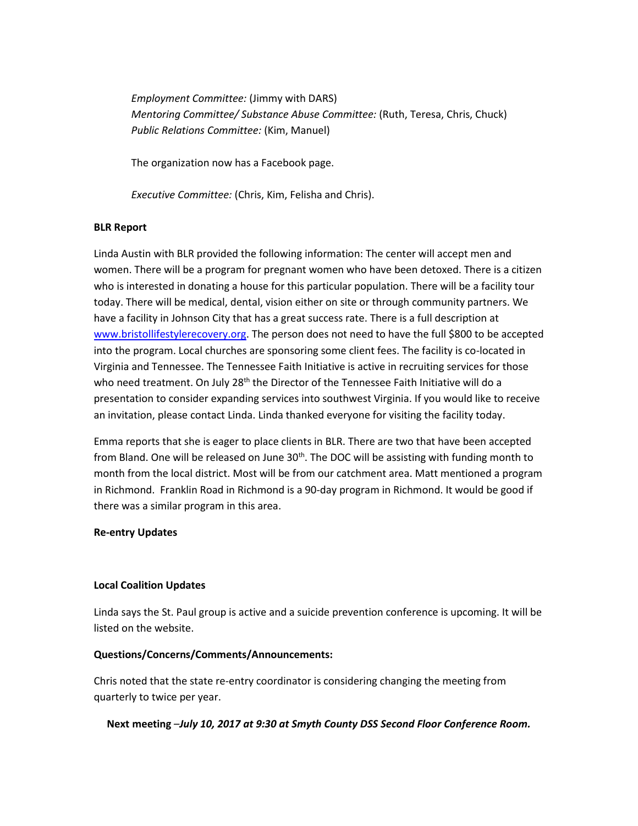*Employment Committee:* (Jimmy with DARS) *Mentoring Committee/ Substance Abuse Committee:* (Ruth, Teresa, Chris, Chuck) *Public Relations Committee:* (Kim, Manuel)

The organization now has a Facebook page.

*Executive Committee:* (Chris, Kim, Felisha and Chris).

### **BLR Report**

Linda Austin with BLR provided the following information: The center will accept men and women. There will be a program for pregnant women who have been detoxed. There is a citizen who is interested in donating a house for this particular population. There will be a facility tour today. There will be medical, dental, vision either on site or through community partners. We have a facility in Johnson City that has a great success rate. There is a full description at [www.bristollifestylerecovery.org.](http://www.bristollifestylerecovery.org/) The person does not need to have the full \$800 to be accepted into the program. Local churches are sponsoring some client fees. The facility is co-located in Virginia and Tennessee. The Tennessee Faith Initiative is active in recruiting services for those who need treatment. On July 28<sup>th</sup> the Director of the Tennessee Faith Initiative will do a presentation to consider expanding services into southwest Virginia. If you would like to receive an invitation, please contact Linda. Linda thanked everyone for visiting the facility today.

Emma reports that she is eager to place clients in BLR. There are two that have been accepted from Bland. One will be released on June 30<sup>th</sup>. The DOC will be assisting with funding month to month from the local district. Most will be from our catchment area. Matt mentioned a program in Richmond. Franklin Road in Richmond is a 90-day program in Richmond. It would be good if there was a similar program in this area.

#### **Re-entry Updates**

## **Local Coalition Updates**

Linda says the St. Paul group is active and a suicide prevention conference is upcoming. It will be listed on the website.

## **Questions/Concerns/Comments/Announcements:**

Chris noted that the state re-entry coordinator is considering changing the meeting from quarterly to twice per year.

**Next meeting** –*July 10, 2017 at 9:30 at Smyth County DSS Second Floor Conference Room.*